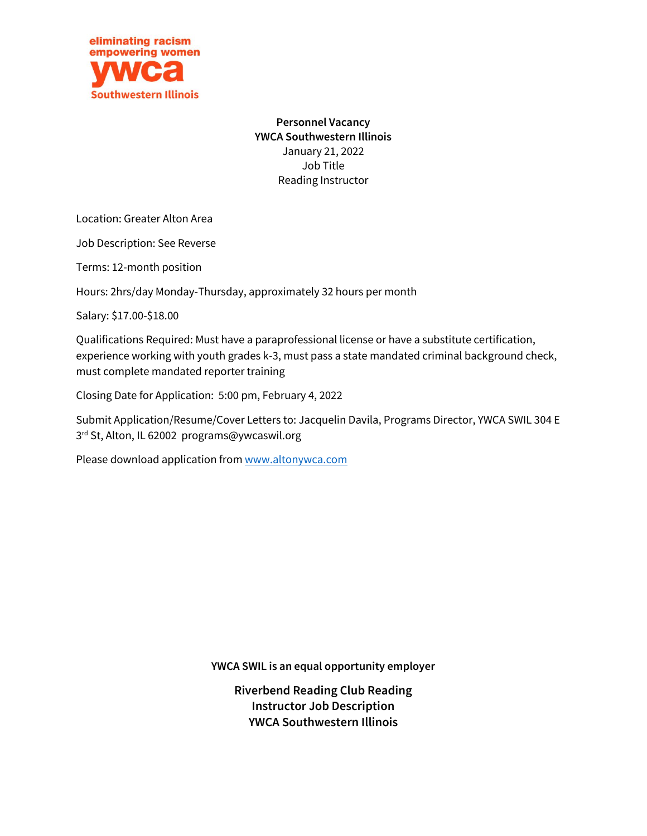

**Personnel Vacancy YWCA Southwestern Illinois** January 21, 2022 Job Title Reading Instructor

Location: Greater Alton Area

Job Description: See Reverse

Terms: 12-month position

Hours: 2hrs/day Monday-Thursday, approximately 32 hours per month

Salary: \$17.00-\$18.00

Qualifications Required: Must have a paraprofessional license or have a substitute certification, experience working with youth grades k-3, must pass a state mandated criminal background check, must complete mandated reporter training

Closing Date for Application: 5:00 pm, February 4, 2022

Submit Application/Resume/Cover Letters to: Jacquelin Davila, Programs Director, YWCA SWIL 304 E 3 rd St, Alton, IL 62002 programs@ywcaswil.org

Please download application fro[m www.altonywca.com](http://www.altonywca.com/)

**YWCA SWIL is an equal opportunity employer** 

**Riverbend Reading Club Reading Instructor Job Description YWCA Southwestern Illinois**